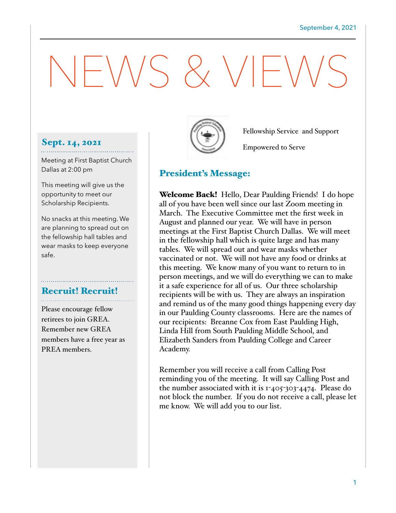# $-N/S \& V/F'$

# Sept. 14, 2021

Meeting at First Baptist Church Dallas at 2:00 pm

This meeting will give us the opportunity to meet our Scholarship Recipients.

No snacks at this meeting. We are planning to spread out on the fellowship hall tables and wear masks to keep everyone safe.

# Recruit! Recruit!

Please encourage fellow retirees to join GREA. Remember new GREA members have a free year as PREA members.



Fellowship Service and Support

Empowered to Serve

# President's Message:

**Welcome Back!** Hello, Dear Paulding Friends! I do hope all of you have been well since our last Zoom meeting in March. The Executive Committee met the first week in August and planned our year. We will have in person meetings at the First Baptist Church Dallas. We will meet in the fellowship hall which is quite large and has many tables. We will spread out and wear masks whether vaccinated or not. We will not have any food or drinks at this meeting. We know many of you want to return to in person meetings, and we will do everything we can to make it a safe experience for all of us. Our three scholarship recipients will be with us. They are always an inspiration and remind us of the many good things happening every day in our Paulding County classrooms. Here are the names of our recipients: Breanne Cox from East Paulding High, Linda Hill from South Paulding Middle School, and Elizabeth Sanders from Paulding College and Career Academy.

Remember you will receive a call from Calling Post reminding you of the meeting. It will say Calling Post and the number associated with it is 1-405-303-4474. Please do not block the number. If you do not receive a call, please let me know. We will add you to our list.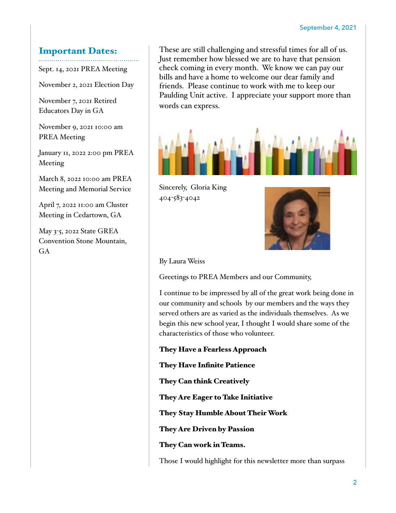#### Important Dates:

Sept. 14, 2021 PREA Meeting

November 2, 2021 Election Day

November 7, 2021 Retired Educators Day in GA

November 9, 2021 10:00 am PREA Meeting

January 11, 2022 2:00 pm PREA Meeting

March 8, 2022 10:00 am PREA Meeting and Memorial Service

April 7, 2022 11:00 am Cluster Meeting in Cedartown, GA

May 3-5, 2022 State GREA Convention Stone Mountain, GA

These are still challenging and stressful times for all of us. Just remember how blessed we are to have that pension check coming in every month. We know we can pay our bills and have a home to welcome our dear family and friends. Please continue to work with me to keep our Paulding Unit active. I appreciate your support more than words can express.



Sincerely, Gloria King 404-583-4042



By Laura Weiss

Greetings to PREA Members and our Community,

I continue to be impressed by all of the great work being done in our community and schools by our members and the ways they served others are as varied as the individuals themselves. As we begin this new school year, I thought I would share some of the characteristics of those who volunteer.

They Have a Fearless Approach

They Have Infinite Patience

They Can think Creatively

They Are Eager to Take Initiative

They Stay Humble About Their Work

They Are Driven by Passion

They Can work in Teams.

Those I would highlight for this newsletter more than surpass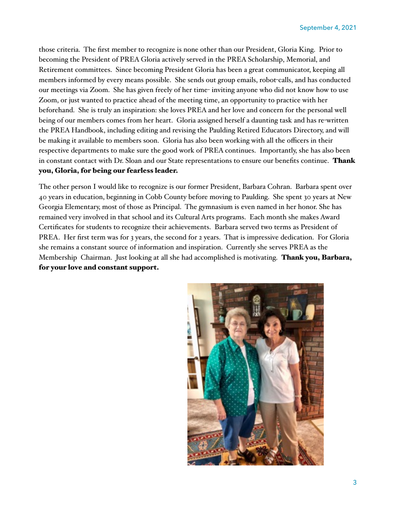those criteria. The first member to recognize is none other than our President, Gloria King. Prior to becoming the President of PREA Gloria actively served in the PREA Scholarship, Memorial, and Retirement committees. Since becoming President Gloria has been a great communicator, keeping all members informed by every means possible. She sends out group emails, robot-calls, and has conducted our meetings via Zoom. She has given freely of her time- inviting anyone who did not know how to use Zoom, or just wanted to practice ahead of the meeting time, an opportunity to practice with her beforehand. She is truly an inspiration: she loves PREA and her love and concern for the personal well being of our members comes from her heart. Gloria assigned herself a daunting task and has re-written the PREA Handbook, including editing and revising the Paulding Retired Educators Directory, and will be making it available to members soon. Gloria has also been working with all the officers in their respective departments to make sure the good work of PREA continues. Importantly, she has also been in constant contact with Dr. Sloan and our State representations to ensure our benefits continue. Thank you, Gloria, for being our fearless leader.

The other person I would like to recognize is our former President, Barbara Cohran. Barbara spent over 40 years in education, beginning in Cobb County before moving to Paulding. She spent 30 years at New Georgia Elementary, most of those as Principal. The gymnasium is even named in her honor. She has remained very involved in that school and its Cultural Arts programs. Each month she makes Award Certificates for students to recognize their achievements. Barbara served two terms as President of PREA. Her first term was for 3 years, the second for 2 years. That is impressive dedication. For Gloria she remains a constant source of information and inspiration. Currently she serves PREA as the Membership Chairman. Just looking at all she had accomplished is motivating. **Thank you, Barbara,** for your love and constant support.

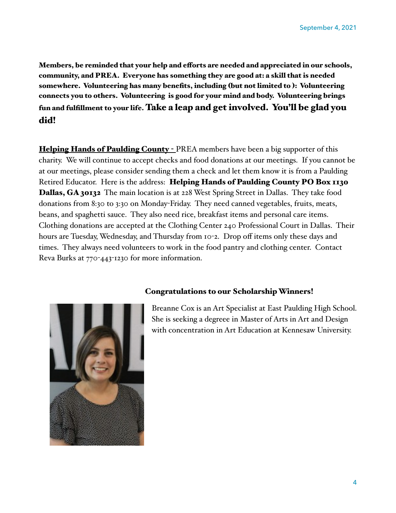Members, be reminded that your help and eforts are needed and appreciated in our schools, community, and PREA. Everyone has something they are good at: a skill that is needed somewhere. Volunteering has many benefits, including (but not limited to ): Volunteering connects you to others. Volunteering is good for your mind and body. Volunteering brings fun and fulfillment to your life. Take a leap and get involved. You'll be glad you did!

Helping Hands of Paulding County - PREA members have been a big supporter of this charity. We will continue to accept checks and food donations at our meetings. If you cannot be at our meetings, please consider sending them a check and let them know it is from a Paulding Retired Educator. Here is the address: Helping Hands of Paulding County PO Box 1130 Dallas, GA 30132 The main location is at 228 West Spring Street in Dallas. They take food donations from 8:30 to 3:30 on Monday-Friday. They need canned vegetables, fruits, meats, beans, and spaghetti sauce. They also need rice, breakfast items and personal care items. Clothing donations are accepted at the Clothing Center 240 Professional Court in Dallas. Their hours are Tuesday, Wednesday, and Thursday from 10-2. Drop off items only these days and times. They always need volunteers to work in the food pantry and clothing center. Contact Reva Burks at 770-443-1230 for more information.



### Congratulations to our Scholarship Winners!

Breanne Cox is an Art Specialist at East Paulding High School. She is seeking a degreee in Master of Arts in Art and Design with concentration in Art Education at Kennesaw University.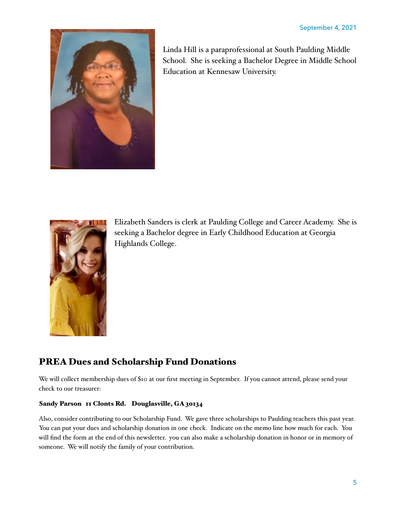

Linda Hill is a paraprofessional at South Paulding Middle School. She is seeking a Bachelor Degree in Middle School Education at Kennesaw University.



Elizabeth Sanders is clerk at Paulding College and Career Academy. She is seeking a Bachelor degree in Early Childhood Education at Georgia Highlands College.

# PREA Dues and Scholarship Fund Donations

We will collect membership dues of \$10 at our first meeting in September. If you cannot attend, please send your check to our treasurer:

#### Sandy Parson 11 Clonts Rd. Douglasville, GA 30134

Also, consider contributing to our Scholarship Fund. We gave three scholarships to Paulding teachers this past year. You can put your dues and scholarship donation in one check. Indicate on the memo line how much for each. You will find the form at the end of this newsletter. you can also make a scholarship donation in honor or in memory of someone. We will notify the family of your contribution.